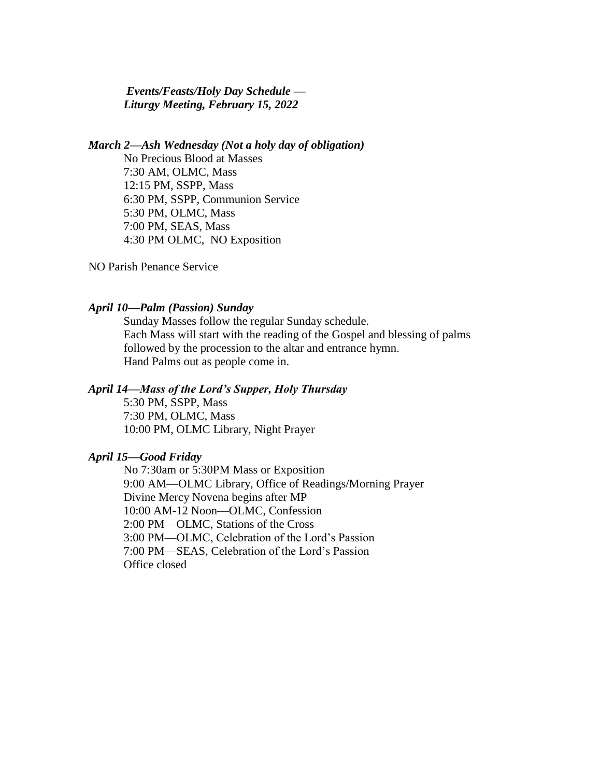*Events/Feasts/Holy Day Schedule — Liturgy Meeting, February 15, 2022*

*March 2—Ash Wednesday (Not a holy day of obligation)* No Precious Blood at Masses 7:30 AM, OLMC, Mass 12:15 PM, SSPP, Mass 6:30 PM, SSPP, Communion Service 5:30 PM, OLMC, Mass 7:00 PM, SEAS, Mass 4:30 PM OLMC, NO Exposition

NO Parish Penance Service

#### *April 10—Palm (Passion) Sunday*

Sunday Masses follow the regular Sunday schedule. Each Mass will start with the reading of the Gospel and blessing of palms followed by the procession to the altar and entrance hymn. Hand Palms out as people come in.

## *April 14—Mass of the Lord's Supper, Holy Thursday*

5:30 PM, SSPP, Mass 7:30 PM, OLMC, Mass 10:00 PM, OLMC Library, Night Prayer

# *April 15—Good Friday*

No 7:30am or 5:30PM Mass or Exposition 9:00 AM—OLMC Library, Office of Readings/Morning Prayer Divine Mercy Novena begins after MP 10:00 AM-12 Noon—OLMC, Confession 2:00 PM—OLMC, Stations of the Cross 3:00 PM—OLMC, Celebration of the Lord's Passion 7:00 PM—SEAS, Celebration of the Lord's Passion Office closed